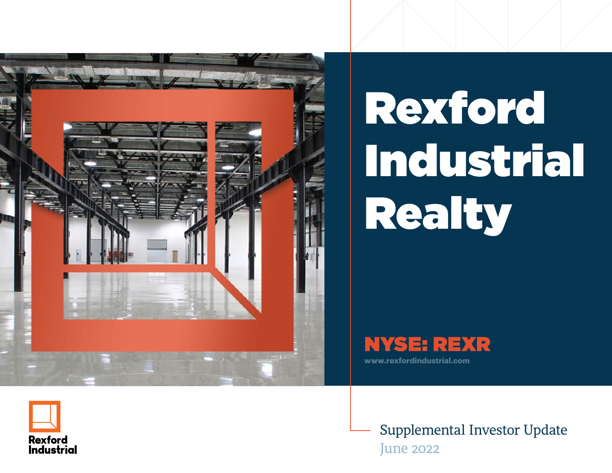

# Rexford Industrial Realty





Supplemental Investor Update June 2022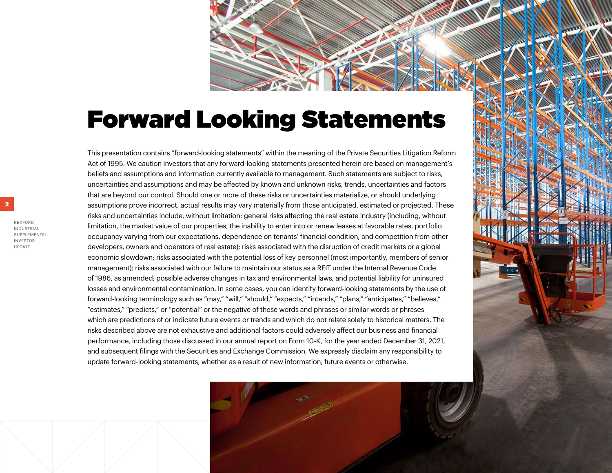# Forward Looking Statements

This presentation contains "forward-looking statements" within the meaning of the Private Securities Litigation Reform Act of 1995. We caution investors that any forward-looking statements presented herein are based on management's beliefs and assumptions and information currently available to management. Such statements are subject to risks, uncertainties and assumptions and may be affected by known and unknown risks, trends, uncertainties and factors that are beyond our control. Should one or more of these risks or uncertainties materialize, or should underlying assumptions prove incorrect, actual results may vary materially from those anticipated, estimated or projected. These risks and uncertainties include, without limitation: general risks affecting the real estate industry (including, without limitation, the market value of our properties, the inability to enter into or renew leases at favorable rates, portfolio occupancy varying from our expectations, dependence on tenants' financial condition, and competition from other developers, owners and operators of real estate); risks associated with the disruption of credit markets or a global economic slowdown; risks associated with the potential loss of key personnel (most importantly, members of senior management); risks associated with our failure to maintain our status as a REIT under the Internal Revenue Code of 1986, as amended; possible adverse changes in tax and environmental laws; and potential liability for uninsured losses and environmental contamination. In some cases, you can identify forward-looking statements by the use of forward-looking terminology such as "may," "will," "should," "expects," "intends," "plans," "anticipates," "believes," "estimates," "predicts," or "potential" or the negative of these words and phrases or similar words or phrases which are predictions of or indicate future events or trends and which do not relate solely to historical matters. The risks described above are not exhaustive and additional factors could adversely affect our business and financial performance, including those discussed in our annual report on Form 10-K, for the year ended December 31, 2021, and subsequent filings with the Securities and Exchange Commission. We expressly disclaim any responsibility to update forward-looking statements, whether as a result of new information, future events or otherwise.

UPDATE

**2**

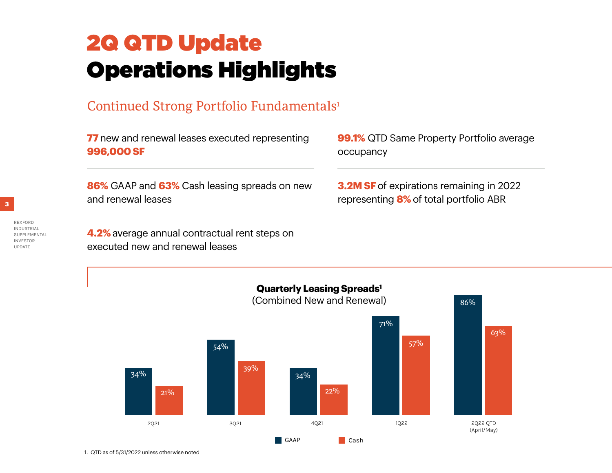# 2Q QTD Update Operations Highlights

## Continued Strong Portfolio Fundamentals<sup>1</sup>

**77** new and renewal leases executed representing **996,000 SF**

**86%** GAAP and **63%** Cash leasing spreads on new and renewal leases

**4.2%** average annual contractual rent steps on

executed new and renewal leases



**3.2M SF** of expirations remaining in 2022 representing **8%** of total portfolio ABR



REXFORD **INDUSTRIAL** SUPPLEMENTAL INVESTOR UPDATE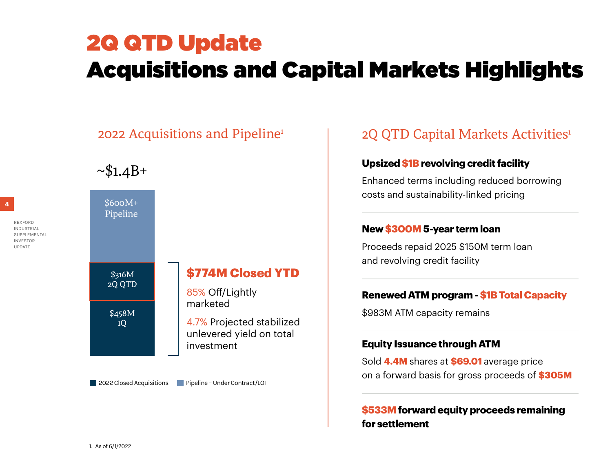# 2Q QTD Update Acquisitions and Capital Markets Highlights

## 2022 Acquisitions and Pipeline<sup>1</sup>



**2022 Closed Acquisitions** Pipeline - Under Contract/LOI

## 2Q QTD Capital Markets Activities<sup>1</sup>

#### **Upsized \$1B revolving credit facility**

Enhanced terms including reduced borrowing costs and sustainability-linked pricing

#### **New \$300M 5-year term loan**

Proceeds repaid 2025 \$150M term loan and revolving credit facility

#### **Renewed ATM program - \$1B Total Capacity**

\$983M ATM capacity remains

#### **Equity Issuance through ATM**

Sold **4.4M** shares at **\$69.01** average price on a forward basis for gross proceeds of **\$305M**

#### **\$533M forward equity proceeds remaining for settlement**

REXFORD **INDUSTRIA** SUPPLEMENTAL INVESTOR UPDATE